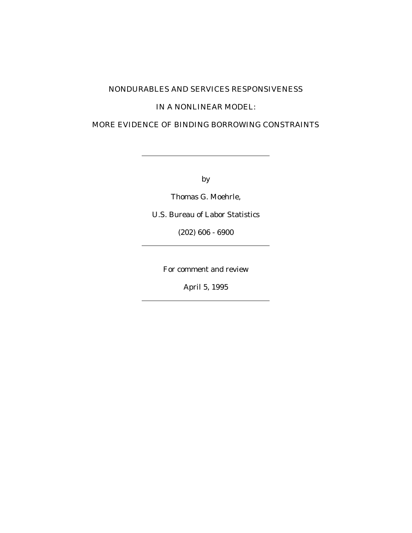## NONDURABLES AND SERVICES RESPONSIVENESS

### IN A NONLINEAR MODEL:

### MORE EVIDENCE OF BINDING BORROWING CONSTRAINTS

by

Thomas G. Moehrle,

U.S. Bureau of Labor Statistics

(202) 606 - 6900

For comment and review

April 5, 1995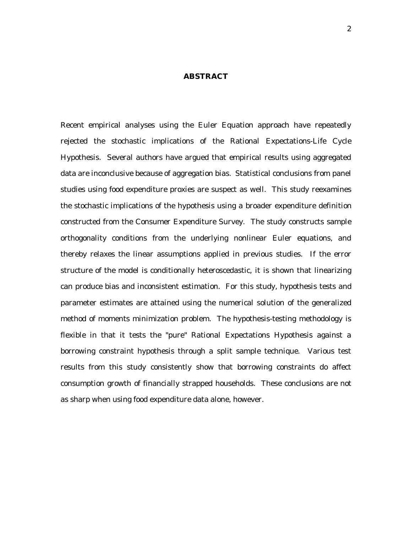#### **ABSTRACT**

Recent empirical analyses using the Euler Equation approach have repeatedly rejected the stochastic implications of the Rational Expectations-Life Cycle Hypothesis. Several authors have argued that empirical results using aggregated data are inconclusive because of aggregation bias. Statistical conclusions from panel studies using food expenditure proxies are suspect as well. This study reexamines the stochastic implications of the hypothesis using a broader expenditure definition constructed from the Consumer Expenditure Survey. The study constructs sample orthogonality conditions from the underlying nonlinear Euler equations, and thereby relaxes the linear assumptions applied in previous studies. If the error structure of the model is conditionally heteroscedastic, it is shown that linearizing can produce bias and inconsistent estimation. For this study, hypothesis tests and parameter estimates are attained using the numerical solution of the generalized method of moments minimization problem. The hypothesis-testing methodology is flexible in that it tests the "pure" Rational Expectations Hypothesis against a borrowing constraint hypothesis through a split sample technique. Various test results from this study consistently show that borrowing constraints do affect consumption growth of financially strapped households. These conclusions are not as sharp when using food expenditure data alone, however.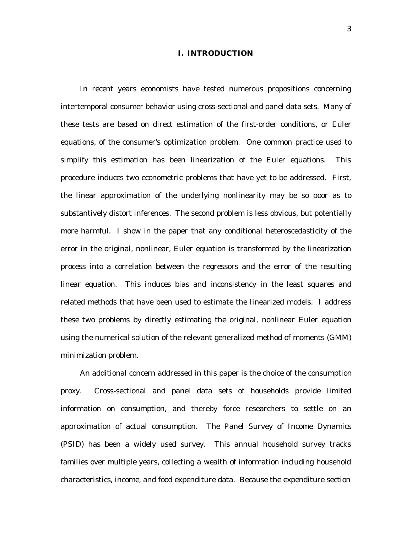### **I. INTRODUCTION**

In recent years economists have tested numerous propositions concerning intertemporal consumer behavior using cross-sectional and panel data sets. Many of these tests are based on direct estimation of the first-order conditions, or Euler equations, of the consumer's optimization problem. One common practice used to simplify this estimation has been linearization of the Euler equations. This procedure induces two econometric problems that have yet to be addressed. First, the linear approximation of the underlying nonlinearity may be so poor as to substantively distort inferences. The second problem is less obvious, but potentially more harmful. I show in the paper that any conditional heteroscedasticity of the error in the original, nonlinear, Euler equation is transformed by the linearization process into a correlation between the regressors and the error of the resulting linear equation. This induces bias and inconsistency in the least squares and related methods that have been used to estimate the linearized models. I address these two problems by directly estimating the original, nonlinear Euler equation using the numerical solution of the relevant generalized method of moments (GMM) minimization problem.

An additional concern addressed in this paper is the choice of the consumption proxy. Cross-sectional and panel data sets of households provide limited information on consumption, and thereby force researchers to settle on an approximation of actual consumption. The Panel Survey of Income Dynamics (PSID) has been a widely used survey. This annual household survey tracks families over multiple years, collecting a wealth of information including household characteristics, income, and food expenditure data. Because the expenditure section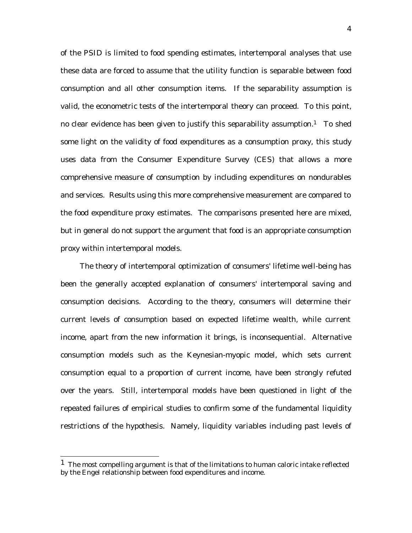of the PSID is limited to food spending estimates, intertemporal analyses that use these data are forced to assume that the utility function is separable between food consumption and all other consumption items. If the separability assumption is valid, the econometric tests of the intertemporal theory can proceed. To this point, no clear evidence has been given to justify this separability assumption.<sup>1</sup> To shed some light on the validity of food expenditures as a consumption proxy, this study uses data from the Consumer Expenditure Survey (CES) that allows a more comprehensive measure of consumption by including expenditures on nondurables and services. Results using this more comprehensive measurement are compared to the food expenditure proxy estimates. The comparisons presented here are mixed, but in general do not support the argument that food is an appropriate consumption proxy within intertemporal models.

The theory of intertemporal optimization of consumers' lifetime well-being has been the generally accepted explanation of consumers' intertemporal saving and consumption decisions. According to the theory, consumers will determine their current levels of consumption based on expected lifetime wealth, while current income, apart from the new information it brings, is inconsequential. Alternative consumption models such as the Keynesian-myopic model, which sets current consumption equal to a proportion of current income, have been strongly refuted over the years. Still, intertemporal models have been questioned in light of the repeated failures of empirical studies to confirm some of the fundamental liquidity restrictions of the hypothesis. Namely, liquidity variables including past levels of

<sup>&</sup>lt;sup>1</sup> The most compelling argument is that of the limitations to human caloric intake reflected by the Engel relationship between food expenditures and income.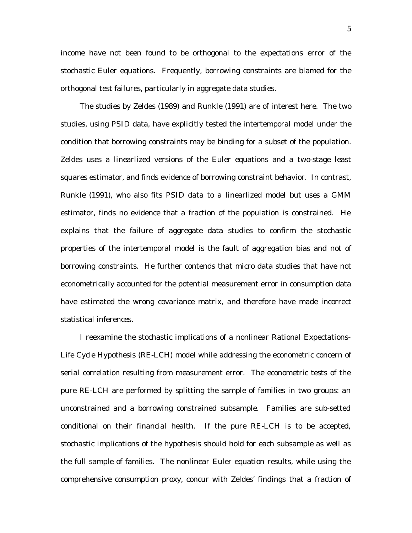income have not been found to be orthogonal to the expectations error of the stochastic Euler equations. Frequently, borrowing constraints are blamed for the orthogonal test failures, particularly in aggregate data studies.

The studies by Zeldes (1989) and Runkle (1991) are of interest here. The two studies, using PSID data, have explicitly tested the intertemporal model under the condition that borrowing constraints may be binding for a subset of the population. Zeldes uses a linearlized versions of the Euler equations and a two-stage least squares estimator, and finds evidence of borrowing constraint behavior. In contrast, Runkle (1991), who also fits PSID data to a linearlized model but uses a GMM estimator, finds no evidence that a fraction of the population is constrained. He explains that the failure of aggregate data studies to confirm the stochastic properties of the intertemporal model is the fault of aggregation bias and not of borrowing constraints. He further contends that micro data studies that have not econometrically accounted for the potential measurement error in consumption data have estimated the wrong covariance matrix, and therefore have made incorrect statistical inferences.

I reexamine the stochastic implications of a nonlinear Rational Expectations-Life Cycle Hypothesis (RE-LCH) model while addressing the econometric concern of serial correlation resulting from measurement error. The econometric tests of the pure RE-LCH are performed by splitting the sample of families in two groups: an unconstrained and a borrowing constrained subsample. Families are sub-setted conditional on their financial health. If the pure RE-LCH is to be accepted, stochastic implications of the hypothesis should hold for each subsample as well as the full sample of families. The nonlinear Euler equation results, while using the comprehensive consumption proxy, concur with Zeldes' findings that a fraction of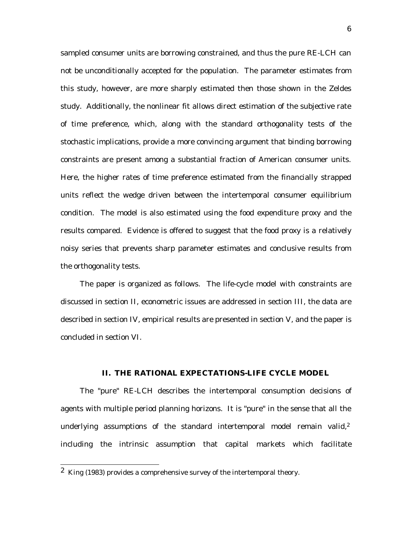sampled consumer units are borrowing constrained, and thus the pure RE-LCH can not be unconditionally accepted for the population. The parameter estimates from this study, however, are more sharply estimated then those shown in the Zeldes study. Additionally, the nonlinear fit allows direct estimation of the subjective rate of time preference, which, along with the standard orthogonality tests of the stochastic implications, provide a more convincing argument that binding borrowing constraints are present among a substantial fraction of American consumer units. Here, the higher rates of time preference estimated from the financially strapped units reflect the wedge driven between the intertemporal consumer equilibrium condition. The model is also estimated using the food expenditure proxy and the results compared. Evidence is offered to suggest that the food proxy is a relatively noisy series that prevents sharp parameter estimates and conclusive results from the orthogonality tests.

The paper is organized as follows. The life-cycle model with constraints are discussed in section II, econometric issues are addressed in section III, the data are described in section IV, empirical results are presented in section V, and the paper is concluded in section VI.

#### **II. THE RATIONAL EXPECTATIONS-LIFE CYCLE MODEL**

The "pure" RE-LCH describes the intertemporal consumption decisions of agents with multiple period planning horizons. It is "pure" in the sense that all the underlying assumptions of the standard intertemporal model remain valid,<sup>2</sup> including the intrinsic assumption that capital markets which facilitate

 <sup>2</sup> King (1983) provides a comprehensive survey of the intertemporal theory.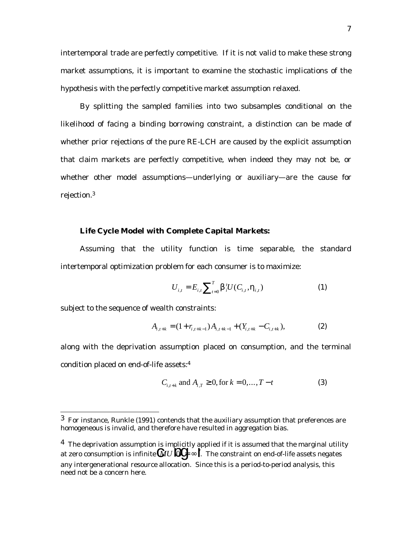intertemporal trade are perfectly competitive. If it is not valid to make these strong market assumptions, it is important to examine the stochastic implications of the hypothesis with the perfectly competitive market assumption relaxed.

By splitting the sampled families into two subsamples conditional on the likelihood of facing a binding borrowing constraint, a distinction can be made of whether prior rejections of the pure RE-LCH are caused by the explicit assumption that claim markets are perfectly competitive, when indeed they may not be, or whether other model assumptions—underlying or auxiliary—are the cause for rejection.3

### **Life Cycle Model with Complete Capital Markets:**

Assuming that the utility function is time separable, the standard intertemporal optimization problem for each consumer is to maximize:

$$
U_{i,t} = E_{i,t} \sum_{t=0}^{T} \beta_i^t U(C_{i,t}, \eta_{i,t})
$$
 (1)

subject to the sequence of wealth constraints:

$$
A_{i,t+k} = (1+r_{i,t+k-1})A_{i,t+k-1} + (Y_{i,t+k} - C_{i,t+k}),
$$
\n(2)

along with the deprivation assumption placed on consumption, and the terminal condition placed on end-of-life assets:4

$$
C_{i,t+k} \text{ and } A_{i,T} \ge 0, \text{ for } k = 0, ..., T - t
$$
 (3)

 $3$  For instance, Runkle (1991) contends that the auxiliary assumption that preferences are homogeneous is invalid, and therefore have resulted in aggregation bias.

 $4$  The deprivation assumption is implicitly applied if it is assumed that the marginal utility at zero consumption is infinite  $\mathbb{Q}U\mathbb{Q}G \sim \mathbf{I}$ . The constraint on end-of-life assets negates any intergenerational resource allocation. Since this is a period-to-period analysis, this need not be a concern here.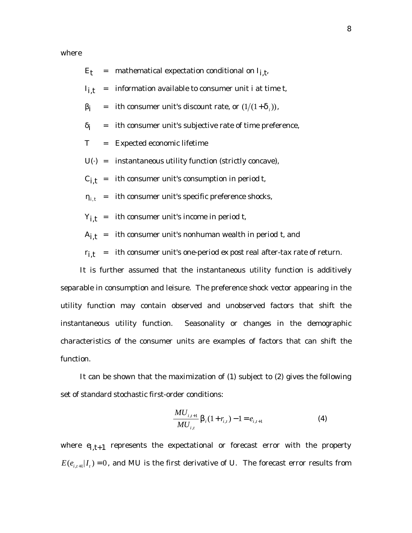where

|  | $E_t$ = mathematical expectation conditional on $I_{i,t}$                      |
|--|--------------------------------------------------------------------------------|
|  | $I_{i,t}$ = information available to consumer unit <i>i</i> at time <i>t</i> , |
|  | $\beta_i$ = <i>i</i> th consumer unit's discount rate, or $(1/(1+\delta_i))$ , |
|  | $\delta_i$ = <i>i</i> th consumer unit's subjective rate of time preference,   |
|  | $T =$ Expected economic lifetime                                               |
|  | $U(t)$ = instantaneous utility function (strictly concave),                    |
|  | $C_{i,t}$ = <i>i</i> th consumer unit's consumption in period <i>t</i> ,       |
|  | $\eta_{i,t}$ = <i>i</i> th consumer unit's specific preference shocks,         |
|  | $Y_{i,t}$ = <i>i</i> th consumer unit's income in period <i>t</i> ,            |
|  |                                                                                |

 $A_{i,t}$  = *i*th consumer unit's nonhuman wealth in period *t*, and

*ri,t* = *i*th consumer unit's one-period *ex post* real after-tax rate of return.

It is further assumed that the instantaneous utility function is additively separable in consumption and leisure. The preference shock vector appearing in the utility function may contain observed and unobserved factors that shift the instantaneous utility function. Seasonality or changes in the demographic characteristics of the consumer units are examples of factors that can shift the function.

It can be shown that the maximization of (1) subject to (2) gives the following set of standard stochastic first-order conditions:

$$
\frac{MU_{i,t+1}}{MU_{i,t}} \beta_i (1 + r_{i,t}) - 1 = e_{i,t+1}
$$
 (4)

where  $e_{i,t+1}$  represents the expectational or forecast error with the property  $E(e_{i,t+1}|I_t) = 0$ , and *MU* is the first derivative of *U*. The forecast error results from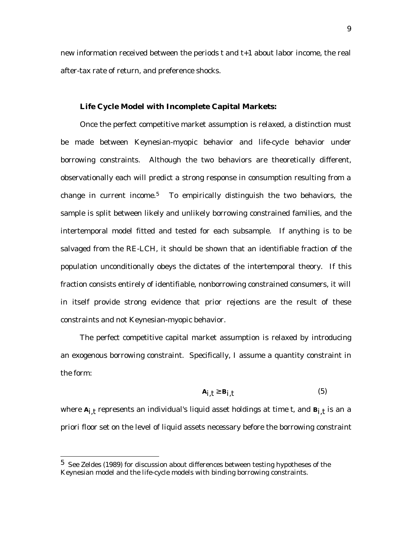new information received between the periods *t* and *t+1* about labor income, the real after-tax rate of return, and preference shocks.

#### **Life Cycle Model with Incomplete Capital Markets:**

Once the perfect competitive market assumption is relaxed, a distinction must be made between Keynesian-myopic behavior and life-cycle behavior under borrowing constraints. Although the two behaviors are theoretically different, observationally each will predict a strong response in consumption resulting from a change in current income.<sup>5</sup> To empirically distinguish the two behaviors, the sample is split between likely and unlikely borrowing constrained families, and the intertemporal model fitted and tested for each subsample. If anything is to be salvaged from the RE-LCH, it should be shown that an identifiable fraction of the population unconditionally obeys the dictates of the intertemporal theory. If this fraction consists entirely of identifiable, nonborrowing constrained consumers, it will in itself provide strong evidence that prior rejections are the result of these constraints and not Keynesian-myopic behavior.

The perfect competitive capital market assumption is relaxed by introducing an exogenous borrowing constraint. Specifically, I assume a quantity constraint in the form:

$$
A_{i,t} \ge B_{i,t} \tag{5}
$$

where  $A_{i,t}$  represents an individual's liquid asset holdings at time *t*, and  $B_{i,t}$  is an *a priori* floor set on the level of liquid assets necessary before the borrowing constraint

 $5$  See Zeldes (1989) for discussion about differences between testing hypotheses of the Keynesian model and the life-cycle models with binding borrowing constraints.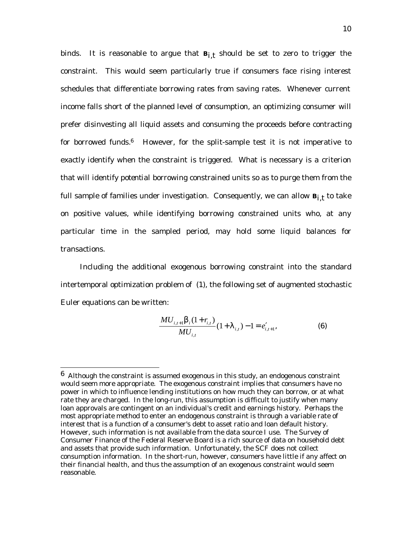binds. It is reasonable to argue that  $B_{i,t}$  should be set to zero to trigger the constraint. This would seem particularly true if consumers face rising interest schedules that differentiate borrowing rates from saving rates. Whenever current income falls short of the planned level of consumption, an optimizing consumer will prefer disinvesting all liquid assets and consuming the proceeds before contracting for borrowed funds. $6$  However, for the split-sample test it is not imperative to exactly identify when the constraint is triggered. What is necessary is a criterion that will identify *potential* borrowing constrained units so as to purge them from the full sample of families under investigation. Consequently, we can allow  $B_{i,t}$  to take on positive values, while identifying borrowing constrained units who, at any particular time in the sampled period, may hold some liquid balances for transactions.

Including the additional exogenous borrowing constraint into the standard intertemporal optimization problem of (1), the following set of augmented stochastic Euler equations can be written:

$$
\frac{MU_{i,t+1}\beta_i(1+r_{i,t})}{MU_{i,t}}(1+\lambda_{i,t})-1=e'_{i,t+1},
$$
\n(6)

 $6$  Although the constraint is assumed exogenous in this study, an endogenous constraint would seem more appropriate. The exogenous constraint implies that consumers have no power in which to influence lending institutions on how much they can borrow, or at what rate they are charged. In the long-run, this assumption is difficult to justify when many loan approvals are contingent on an individual's credit and earnings history. Perhaps the most appropriate method to enter an endogenous constraint is through a variable rate of interest that is a function of a consumer's debt to asset ratio and loan default history. However, such information is not available from the data source I use. The Survey of Consumer Finance of the Federal Reserve Board is a rich source of data on household debt and assets that provide such information. Unfortunately, the SCF does not collect consumption information. In the short-run, however, consumers have little if any affect on their financial health, and thus the assumption of an exogenous constraint would seem reasonable.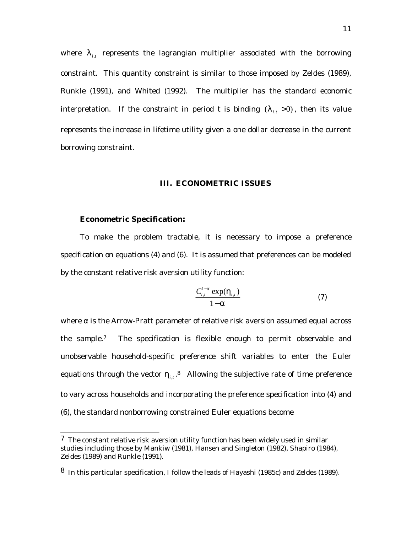where  $\lambda_{i,t}$  represents the lagrangian multiplier associated with the borrowing constraint. This quantity constraint is similar to those imposed by Zeldes (1989), Runkle (1991), and Whited (1992). The multiplier has the standard economic interpretation. If the constraint in period *t* is binding  $(\lambda_i, >0)$ , then its value represents the increase in lifetime utility given a one dollar decrease in the current borrowing constraint.

#### **III. ECONOMETRIC ISSUES**

### **Econometric Specification:**

To make the problem tractable, it is necessary to impose a preference specification on equations (4) and (6). It is assumed that preferences can be modeled by the constant relative risk aversion utility function:

$$
\frac{C_{i,t}^{1-\alpha} \exp(\eta_{i,t})}{1-\alpha} \tag{7}
$$

where  $\alpha$  is the Arrow-Pratt parameter of relative risk aversion assumed equal across the sample.7 The specification is flexible enough to permit observable and unobservable household-specific preference shift variables to enter the Euler equations through the vector  $\eta_{i,t}$ .<sup>8</sup> Allowing the subjective rate of time preference to vary across households and incorporating the preference specification into (4) and (6), the standard nonborrowing constrained Euler equations become

 $7$  The constant relative risk aversion utility function has been widely used in similar studies including those by Mankiw (1981), Hansen and Singleton (1982), Shapiro (1984), Zeldes (1989) and Runkle (1991).

<sup>8</sup> In this particular specification, I follow the leads of Hayashi (1985c) and Zeldes (1989).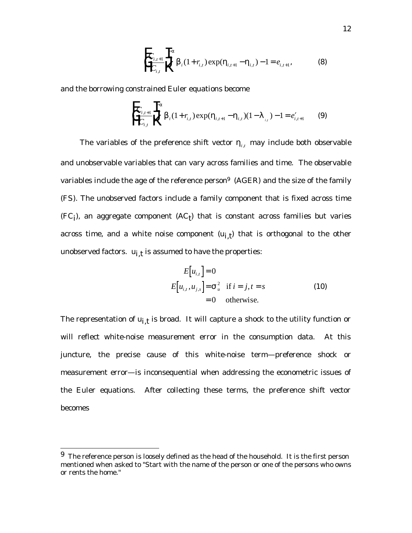$$
\prod_{i,t+1}^{T} \prod_{i=1}^{T} \beta_i (1 + r_{i,t}) \exp(\eta_{i,t+1} - \eta_{i,t}) - 1 = e_{i,t+1},
$$
\n(8)

and the borrowing constrained Euler equations become

$$
\prod_{i,t+1}^{T} \prod_{i=1}^{T} \beta_i (1 + r_{i,t}) \exp(\eta_{i,t+1} - \eta_{i,t}) (1 - \lambda_{i,t}) - 1 = e'_{i,t+1}
$$
 (9)

The variables of the preference shift vector  $\eta_{i,t}$  may include both observable and unobservable variables that can vary across families and time. The observable variables include the age of the reference person<sup>9</sup> (*AGER*) and the size of the family (*FS*). The unobserved factors include a family component that is fixed across time  $(FC_j)$ , an aggregate component  $(AC_j)$  that is constant across families but varies across time, and a white noise component  $(u_{i,t})$  that is orthogonal to the other unobserved factors.  $u_{i,t}$  is assumed to have the properties:

$$
E[u_{i,t}] = 0
$$
  
\n
$$
E[u_{i,t}, u_{j,s}] = \sigma_u^2 \text{ if } i = j, t = s
$$
  
\n
$$
= 0 \text{ otherwise.}
$$
 (10)

The representation of  $u_{i,t}$  is broad. It will capture a shock to the utility function or will reflect white-noise measurement error in the consumption data. At this juncture, the precise cause of this white-noise term—preference shock or measurement error—is inconsequential when addressing the econometric issues of the Euler equations. After collecting these terms, the preference shift vector becomes

 $9$  The reference person is loosely defined as the head of the household. It is the first person mentioned when asked to "Start with the name of the person or one of the persons who owns or rents the home."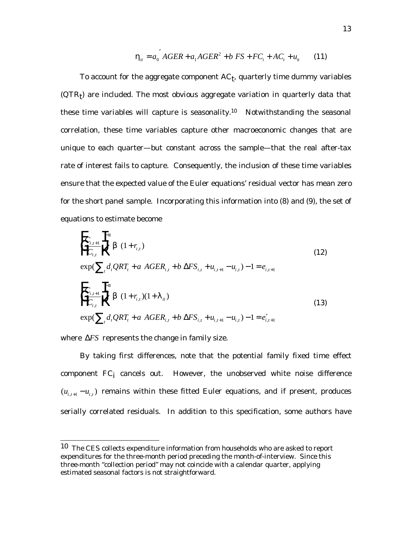$$
\eta_{ii} = a_0^{'} AGER + a_1 AGER^2 + b FS + FC_i + AC_t + u_{ii}
$$
 (11)

To account for the aggregate component  $AC<sub>t</sub>$ , quarterly time dummy variables  $(QTR<sub>t</sub>)$  are included. The most obvious aggregate variation in quarterly data that these time variables will capture is seasonality.<sup>10</sup> Notwithstanding the seasonal correlation, these time variables capture other macroeconomic changes that are unique to each quarter—but constant across the sample—that the real after-tax rate of interest fails to capture. Consequently, the inclusion of these time variables ensure that the expected value of the Euler equations' residual vector has mean zero for the short panel sample. Incorporating this information into (8) and (9), the set of equations to estimate become

$$
\begin{aligned}\n\mathbf{F}_{i,t+1} & \mathbf{F}^{\alpha} \\
\mathbf{F}_{i,t} & \mathbf{F}^{\beta} \quad (1+r_{i,t}) \\
& \exp\left(\sum_{t} d_{t} QRT_{t} + a \text{ AGER}_{i,t} + b \Delta FS_{i,t} + u_{i,t+1} - u_{i,t}\right) - 1 = e_{i,t+1} \\
\mathbf{F}_{i,t+1} & \mathbf{F}^{\alpha} \\
\mathbf{F}_{i,t} & \mathbf{F}^{\beta} \quad (1+r_{i,t})(1+\lambda_{it}) \\
& \exp\left(\sum_{t} d_{t} QRT_{t} + a \text{ AGER}_{i,t} + b \Delta FS_{i,t} + u_{i,t+1} - u_{i,t}\right) - 1 = e_{i,t+1}'\n\end{aligned} \tag{12}
$$

where ∆*FS* represents the change in family size.

By taking first differences, note that the potential family fixed time effect component  $FC_i$  cancels out. However, the unobserved white noise difference  $(u_{i,t+1} - u_{i,t})$  remains within these fitted Euler equations, and if present, produces serially correlated residuals. In addition to this specification, some authors have

 <sup>10</sup> The CES collects expenditure information from households who are asked to report expenditures for the three-month period preceding the month-of-interview. Since this three-month "collection period" may not coincide with a calendar quarter, applying estimated seasonal factors is not straightforward.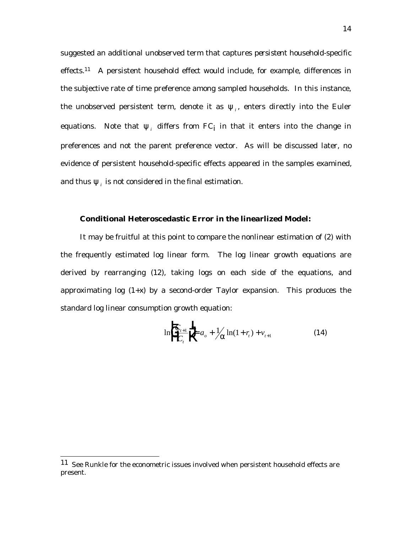suggested an additional unobserved term that captures *persistent* household-specific effects.11 A persistent household effect would include, for example, differences in the subjective rate of time preference among sampled households. In this instance, the unobserved persistent term, denote it as  $\psi_i$ , enters directly into the Euler equations. Note that  $\psi_i$  differs from  $FC_j$  in that it enters into the *change* in preferences and not the parent preference vector. As will be discussed later, no evidence of persistent household-specific effects appeared in the samples examined, and thus  $\psi_i$  is not considered in the final estimation.

### **Conditional Heteroscedastic Error in the linearlized Model:**

It may be fruitful at this point to compare the nonlinear estimation of (2) with the frequently estimated log linear form. The log linear growth equations are derived by rearranging (12), taking logs on each side of the equations, and approximating log (1+*x*) by a second-order Taylor expansion. This produces the standard log linear consumption growth equation:

$$
\ln \left( \frac{\mathbf{F}_{t+1}}{\mathbf{F}_{t}} \right) \frac{\mathbf{T}}{\mathbf{K}} a_o + \frac{1}{\alpha} \ln(1+r_t) + v_{t+1} \tag{14}
$$

 <sup>11</sup> See Runkle for the econometric issues involved when persistent household effects are present.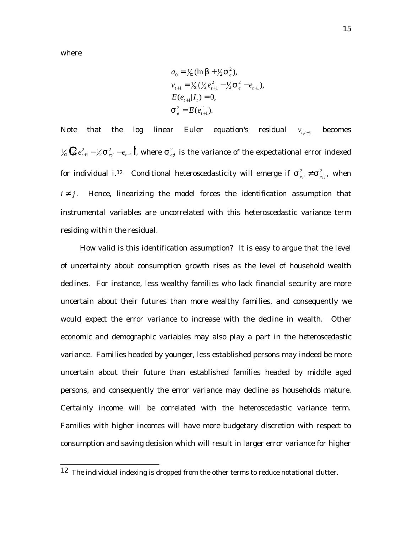where

$$
a_0 = \frac{1}{\alpha} (\ln \beta + \frac{1}{2} \sigma_e^2),
$$
  
\n
$$
v_{t+1} = \frac{1}{\alpha} (\frac{1}{2} e_{t+1}^2 - \frac{1}{2} \sigma_e^2 - e_{t+1}),
$$
  
\n
$$
E(e_{t+1} | I_t) = 0,
$$
  
\n
$$
\sigma_e^2 = E(e_{t+1}^2).
$$

Note that the log linear Euler equation's residual  $v_{i,t+1}$  becomes  $\frac{1}{2} \chi \mathbf{Q} e_{t+1}^2 - \frac{1}{2} \sigma_{e;i}^2 - e_{t+1} \mathbf{I}$ , where  $\sigma_{e;i}^2$  is the variance of the expectational error indexed for individual *i*.<sup>12</sup> Conditional heteroscedasticity will emerge if  $\sigma^2_{e,i} \neq \sigma^2_{e,j}$ , when  $i \neq j$ . Hence, linearizing the model forces the identification assumption that instrumental variables are uncorrelated with this heteroscedastic variance term residing within the residual.

How valid is this identification assumption? It is easy to argue that the level of uncertainty about consumption growth rises as the level of household wealth declines. For instance, less wealthy families who lack financial security are more uncertain about their futures than more wealthy families, and consequently we would expect the error variance to increase with the decline in wealth. Other economic and demographic variables may also play a part in the heteroscedastic variance. Families headed by younger, less established persons may indeed be more uncertain about their future than established families headed by middle aged persons, and consequently the error variance may decline as households mature. Certainly income will be correlated with the heteroscedastic variance term. Families with higher incomes will have more budgetary discretion with respect to consumption and saving decision which will result in larger error variance for higher

 <sup>12</sup> The individual indexing is dropped from the other terms to reduce notational clutter.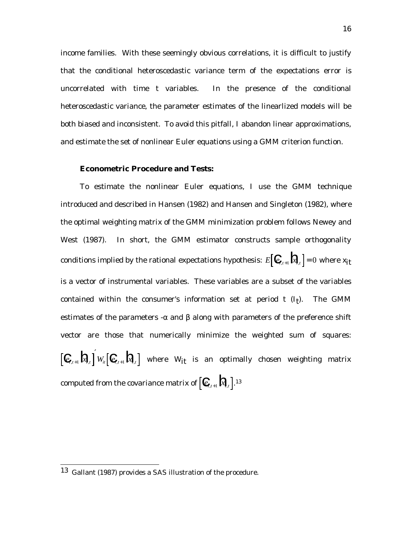income families. With these seemingly obvious correlations, it is difficult to justify that the conditional heteroscedastic variance term of the expectations error is uncorrelated with time *t* variables. In the presence of the conditional heteroscedastic variance, the parameter estimates of the linearlized models will be both biased and inconsistent. To avoid this pitfall, I abandon linear approximations, and estimate the set of nonlinear Euler equations using a GMM criterion function.

#### **Econometric Procedure and Tests:**

To estimate the nonlinear Euler equations, I use the GMM technique introduced and described in Hansen (1982) and Hansen and Singleton (1982), where the optimal weighting matrix of the GMM minimization problem follows Newey and West (1987). In short, the GMM estimator constructs sample orthogonality conditions implied by the rational expectations hypothesis:  $E[\mathbf{C}_{t+1}]\mathbf{R}_{t}$  = 0 where  $x_{it}$ is a vector of instrumental variables. These variables are a subset of the variables contained within the consumer's information set at period  $t$   $(I_t)$ . The GMM estimates of the parameters - $\alpha$  and  $\beta$  along with parameters of the preference shift vector are those that numerically minimize the weighted sum of squares:  $\mathbf{C}_{t+1} \mathbf{R}_{t} \left[\mathbf{C}_{t+1} \mathbf{R}_{t}\right]$  where  $W_{it}$  is an optimally chosen weighting matrix computed from the covariance matrix of  $\left[\mathcal{C}_{\mathcal{U}+1} \mathbf{R}_{\mu} \right]$ .<sup>13</sup>

 <sup>13</sup> Gallant (1987) provides a *SAS* illustration of the procedure.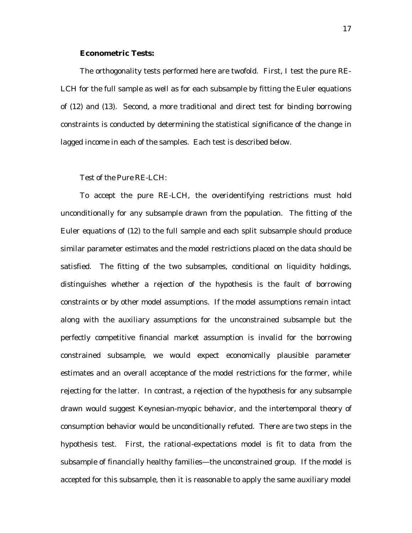#### **Econometric Tests:**

The orthogonality tests performed here are twofold. First, I test the pure RE-LCH for the full sample as well as for each subsample by fitting the Euler equations of (12) and (13). Second, a more traditional and direct test for binding borrowing constraints is conducted by determining the statistical significance of the change in lagged income in each of the samples. Each test is described below.

### *Test of the Pure RE-LCH:*

To accept the pure RE-LCH, the overidentifying restrictions must hold unconditionally for any subsample drawn from the population. The fitting of the Euler equations of (12) to the full sample and each split subsample should produce similar parameter estimates and the model restrictions placed on the data should be satisfied. The fitting of the two subsamples, conditional on liquidity holdings, distinguishes whether a rejection of the hypothesis is the fault of borrowing constraints or by other model assumptions. If the model assumptions remain intact along with the auxiliary assumptions for the unconstrained subsample but the perfectly competitive financial market assumption is invalid for the borrowing constrained subsample, we would expect economically plausible parameter estimates and an overall acceptance of the model restrictions for the former, while rejecting for the latter. In contrast, a rejection of the hypothesis for *any* subsample drawn would suggest Keynesian-myopic behavior, and the intertemporal theory of consumption behavior would be unconditionally refuted. There are two steps in the hypothesis test. First, the rational-expectations model is fit to data from the subsample of financially healthy families—the unconstrained group. If the model is accepted for this subsample, then it is reasonable to apply the same auxiliary model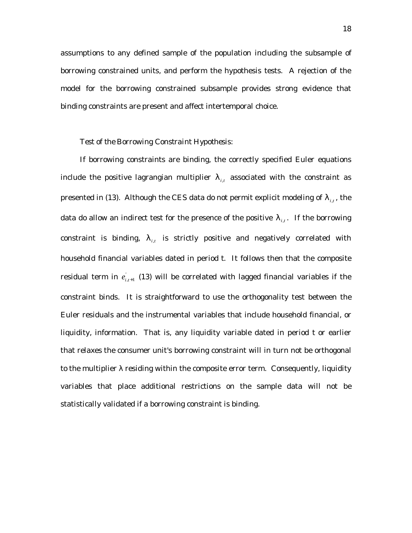assumptions to any defined sample of the population including the subsample of borrowing constrained units, and perform the hypothesis tests. A rejection of the model for the borrowing constrained subsample provides strong evidence that binding constraints are present and affect intertemporal choice.

#### *Test of the Borrowing Constraint Hypothesis:*

If borrowing constraints are binding, the correctly specified Euler equations include the positive lagrangian multiplier  $\lambda_{i,t}$  associated with the constraint as presented in (13). Although the CES data do not permit explicit modeling of  $\lambda_{i,t}$ , the data do allow an indirect test for the presence of the positive  $\lambda_{i,t}$ . If the borrowing constraint is binding,  $\lambda_{i,t}$  is strictly positive and negatively correlated with household financial variables dated in period *t*. It follows then that the composite residual term in  $e_{i,t+1}^{'}$  (13) will be correlated with lagged financial variables if the constraint binds. It is straightforward to use the orthogonality test between the Euler residuals and the instrumental variables that include household financial, or liquidity, information. That is, any liquidity variable dated in period *t* or earlier that relaxes the consumer unit's borrowing constraint will in turn not be orthogonal to the multiplier  $\lambda$  residing within the composite error term. Consequently, liquidity variables that place additional restrictions on the sample data will not be statistically validated if a borrowing constraint is binding.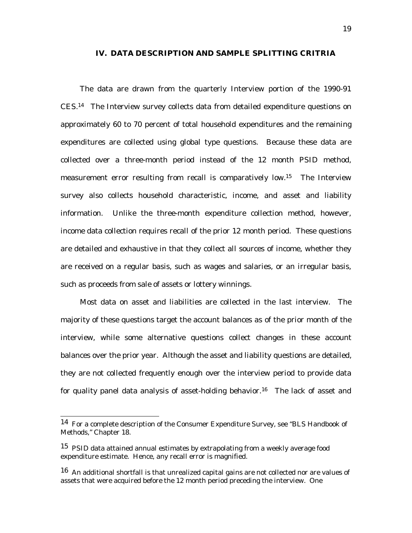### **IV. DATA DESCRIPTION AND SAMPLE SPLITTING CRITRIA**

The data are drawn from the quarterly Interview portion of the 1990-91 CES.14 The Interview survey collects data from detailed expenditure questions on approximately 60 to 70 percent of total household expenditures and the remaining expenditures are collected using global type questions. Because these data are collected over a three-month period instead of the 12 month PSID method, measurement error resulting from recall is comparatively low.<sup>15</sup> The Interview survey also collects household characteristic, income, and asset and liability information. Unlike the three-month expenditure collection method, however, income data collection requires recall of the prior 12 month period. These questions are detailed and exhaustive in that they collect all sources of income, whether they are received on a regular basis, such as wages and salaries, or an irregular basis, such as proceeds from sale of assets or lottery winnings.

Most data on asset and liabilities are collected in the last interview. The majority of these questions target the account balances as of the prior month of the interview, while some alternative questions collect changes in these account balances over the prior year. Although the asset and liability questions are detailed, they are not collected frequently enough over the interview period to provide data for quality panel data analysis of asset-holding behavior.<sup>16</sup> The lack of asset and

 <sup>14</sup> For a complete description of the Consumer Expenditure Survey, see "BLS Handbook of Methods," Chapter 18.

<sup>&</sup>lt;sup>15</sup> PSID data attained annual estimates by extrapolating from a weekly average food expenditure estimate. Hence, any recall error is magnified.

 $16$  An additional shortfall is that unrealized capital gains are not collected nor are values of assets that were acquired before the 12 month period preceding the interview. One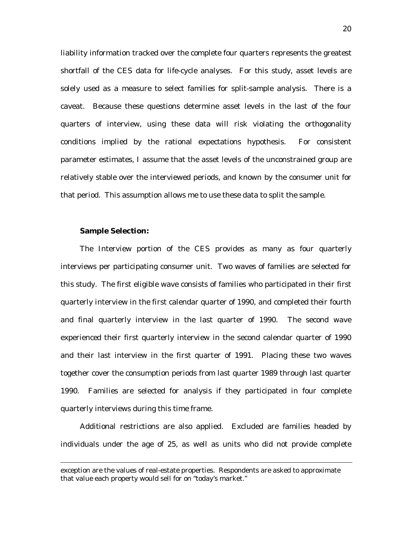liability information tracked over the complete four quarters represents the greatest shortfall of the CES data for life-cycle analyses. For this study, asset levels are solely used as a measure to select families for split-sample analysis. There is a caveat. Because these questions determine asset levels in the last of the four quarters of interview, using these data will risk violating the orthogonality conditions implied by the rational expectations hypothesis. For consistent parameter estimates, I assume that the asset levels of the unconstrained group are relatively stable over the interviewed periods, and known by the consumer unit for that period. This assumption allows me to use these data to split the sample.

### **Sample Selection:**

-

The Interview portion of the CES provides as many as four quarterly interviews per participating consumer unit. Two waves of families are selected for this study. The first eligible wave consists of families who participated in their first quarterly interview in the first calendar quarter of 1990, and completed their fourth and final quarterly interview in the last quarter of 1990. The second wave experienced their first quarterly interview in the second calendar quarter of 1990 and their last interview in the first quarter of 1991. Placing these two waves together cover the consumption periods from last quarter 1989 through last quarter 1990. Families are selected for analysis if they participated in four complete quarterly interviews during this time frame.

Additional restrictions are also applied. Excluded are families headed by individuals under the age of 25, as well as units who did not provide complete

exception are the values of real-estate properties. Respondents are asked to approximate that value each property would sell for on "today's market."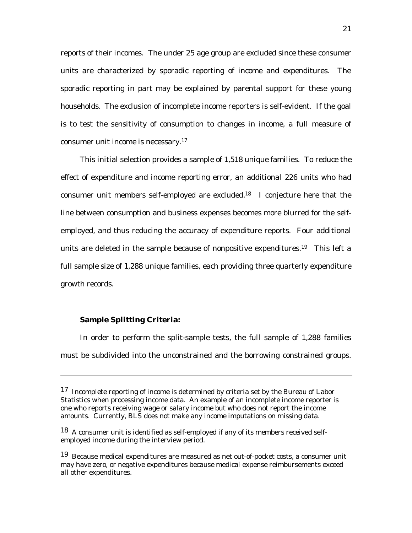reports of their incomes. The under 25 age group are excluded since these consumer units are characterized by sporadic reporting of income and expenditures. The sporadic reporting in part may be explained by parental support for these young households. The exclusion of incomplete income reporters is self-evident. If the goal is to test the sensitivity of consumption to changes in income, a full measure of consumer unit income is necessary.17

This initial selection provides a sample of 1,518 unique families. To reduce the effect of expenditure and income reporting error, an additional 226 units who had consumer unit members self-employed are excluded.18 I conjecture here that the line between consumption and business expenses becomes more blurred for the selfemployed, and thus reducing the accuracy of expenditure reports. Four additional units are deleted in the sample because of nonpositive expenditures.<sup>19</sup> This left a full sample size of 1,288 unique families, each providing three quarterly expenditure growth records.

### **Sample Splitting Criteria:**

-

In order to perform the split-sample tests, the full sample of 1,288 families must be subdivided into the unconstrained and the borrowing constrained groups.

<sup>17</sup> Incomplete reporting of income is determined by criteria set by the Bureau of Labor Statistics when processing income data. An example of an incomplete income reporter is one who reports receiving wage or salary income but who does not report the income amounts. Currently, BLS does not make any income imputations on missing data.

<sup>&</sup>lt;sup>18</sup> A consumer unit is identified as self-employed if any of its members received selfemployed income during the interview period.

<sup>19</sup> Because medical expenditures are measured as net out-of-pocket costs, a consumer unit may have zero, or negative expenditures because medical expense reimbursements exceed all other expenditures.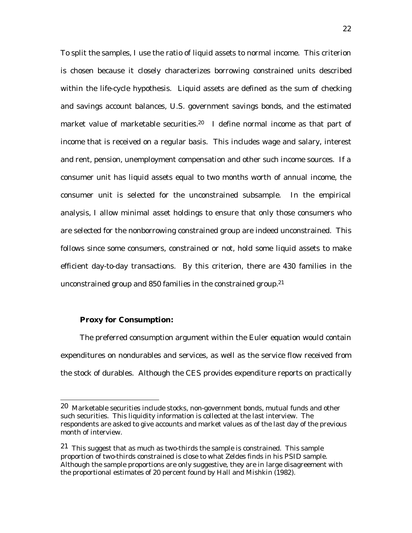To split the samples, I use the ratio of liquid assets to normal income. This criterion is chosen because it closely characterizes borrowing constrained units described within the life-cycle hypothesis. Liquid assets are defined as the sum of checking and savings account balances, U.S. government savings bonds, and the estimated market value of marketable securities.<sup>20</sup> I define normal income as that part of income that is received on a regular basis. This includes wage and salary, interest and rent, pension, unemployment compensation and other such income sources. If a consumer unit has liquid assets equal to two months worth of annual income, the consumer unit is selected for the unconstrained subsample. In the empirical analysis, I allow minimal asset holdings to ensure that only those consumers who are selected for the nonborrowing constrained group are indeed unconstrained. This follows since some consumers, constrained or not, hold some liquid assets to make efficient day-to-day transactions. By this criterion, there are 430 families in the unconstrained group and 850 families in the constrained group.<sup>21</sup>

### **Proxy for Consumption:**

The preferred consumption argument within the Euler equation would contain expenditures on nondurables and services, as well as the service flow received from the stock of durables. Although the CES provides expenditure reports on practically

 <sup>20</sup> Marketable securities include stocks, non-government bonds, mutual funds and other such securities. This liquidity information is collected at the last interview. The respondents are asked to give accounts and market values as of the last day of the previous month of interview.

<sup>21</sup> This suggest that as much as two-thirds the sample is constrained. This sample proportion of two-thirds constrained is close to what Zeldes finds in his PSID sample. Although the sample proportions are only suggestive, they are in large disagreement with the proportional estimates of 20 percent found by Hall and Mishkin (1982).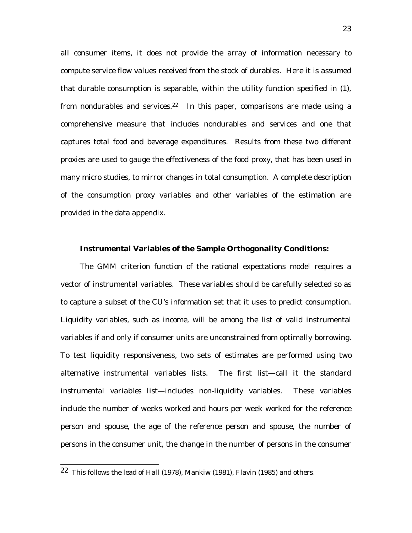all consumer items, it does not provide the array of information necessary to compute service flow values received from the stock of durables. Here it is assumed that durable consumption is separable, within the utility function specified in (1), from nondurables and services.<sup>22</sup> In this paper, comparisons are made using a comprehensive measure that includes nondurables and services and one that captures total food and beverage expenditures. Results from these two different proxies are used to gauge the effectiveness of the food proxy, that has been used in many micro studies, to mirror changes in total consumption. A complete description of the consumption proxy variables and other variables of the estimation are provided in the data appendix.

#### **Instrumental Variables of the Sample Orthogonality Conditions:**

The GMM criterion function of the rational expectations model requires a vector of instrumental variables. These variables should be carefully selected so as to capture a subset of the CU's information set that it uses to predict consumption. Liquidity variables, such as income, will be among the list of valid instrumental variables if and only if consumer units are unconstrained from optimally borrowing. To test liquidity responsiveness, two sets of estimates are performed using two alternative instrumental variables lists. The first list—call it the *standard instrumental variables list*—includes non-liquidity variables. These variables include the number of weeks worked and hours per week worked for the reference person and spouse, the age of the reference person and spouse, the number of persons in the consumer unit, the change in the number of persons in the consumer

 <sup>22</sup> This follows the lead of Hall (1978), Mankiw (1981), Flavin (1985) and others.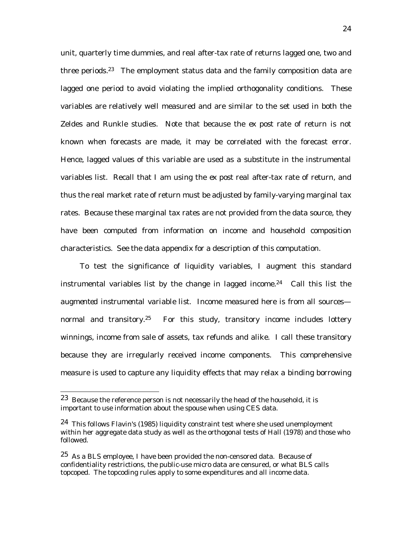unit, quarterly time dummies, and real after-tax rate of returns lagged one, two and three periods.<sup>23</sup> The employment status data and the family composition data are lagged one period to avoid violating the implied orthogonality conditions. These variables are relatively well measured and are similar to the set used in both the Zeldes and Runkle studies. Note that because the *ex post* rate of return is not known when forecasts are made, it may be correlated with the forecast error. Hence, lagged values of this variable are used as a substitute in the instrumental variables list. Recall that I am using the *ex post* real after-tax rate of return, and thus the real market rate of return must be adjusted by family-varying marginal tax rates. Because these marginal tax rates are not provided from the data source, they have been computed from information on income and household composition characteristics. See the data appendix for a description of this computation.

To test the significance of liquidity variables, I augment this standard instrumental variables list by the change in lagged income.<sup>24</sup> Call this list the *augmented instrumental variable list*. Income measured here is from all sources normal and transitory.<sup>25</sup> For this study, transitory income includes lottery winnings, income from sale of assets, tax refunds and alike. I call these transitory because they are irregularly received income components. This comprehensive measure is used to capture any liquidity effects that may relax a binding borrowing

 <sup>23</sup> Because the reference person is not necessarily the head of the household, it is important to use information about the spouse when using CES data.

 $24$  This follows Flavin's (1985) liquidity constraint test where she used unemployment within her aggregate data study as well as the orthogonal tests of Hall (1978) and those who followed.

 $25$  As a BLS employee, I have been provided the non-censored data. Because of confidentiality restrictions, the public-use micro data are censured, or what BLS calls topcoped. The topcoding rules apply to some expenditures and all income data.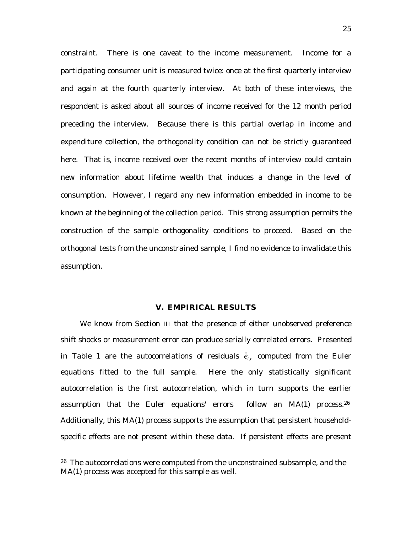constraint. There is one caveat to the income measurement. Income for a participating consumer unit is measured twice: once at the first quarterly interview and again at the fourth quarterly interview. At both of these interviews, the respondent is asked about all sources of income received for the 12 month period preceding the interview. Because there is this partial overlap in income and expenditure collection, the orthogonality condition can not be strictly guaranteed here. That is, income received over the recent months of interview could contain new information about lifetime wealth that induces a change in the level of consumption. However, I regard any new information embedded in income to be known at the beginning of the collection period. This strong assumption permits the construction of the sample orthogonality conditions to proceed. Based on the orthogonal tests from the unconstrained sample, I find no evidence to invalidate this assumption.

### **V. EMPIRICAL RESULTS**

We know from Section *III* that the presence of either unobserved preference shift shocks or measurement error can produce serially correlated errors. Presented in Table 1 are the autocorrelations of residuals  $\hat{e}_{i,t}$  computed from the Euler equations fitted to the full sample. Here the only statistically significant autocorrelation is the first autocorrelation, which in turn supports the earlier assumption that the Euler equations' errors follow an MA(1) process.<sup>26</sup> Additionally, this MA(1) process supports the assumption that persistent householdspecific effects are not present within these data. If persistent effects are present

<sup>&</sup>lt;sup>26</sup> The autocorrelations were computed from the unconstrained subsample, and the MA(1) process was accepted for this sample as well.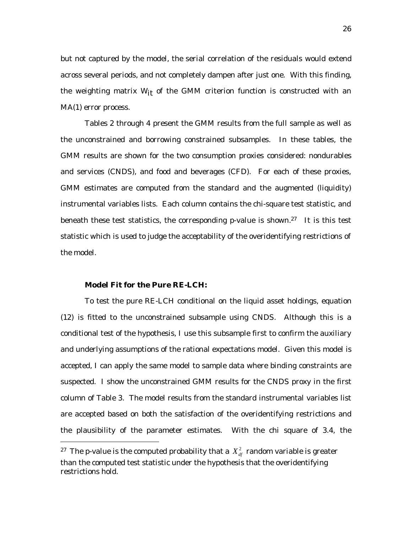but not captured by the model, the serial correlation of the residuals would extend across several periods, and not completely dampen after just one. With this finding, the weighting matrix  $W_{it}$  of the GMM criterion function is constructed with an MA(1) error process.

Tables 2 through 4 present the GMM results from the full sample as well as the unconstrained and borrowing constrained subsamples. In these tables, the GMM results are shown for the two consumption proxies considered: nondurables and services (CNDS), and food and beverages (CFD). For each of these proxies, GMM estimates are computed from the standard and the augmented (liquidity) instrumental variables lists. Each column contains the chi-square test statistic, and beneath these test statistics, the corresponding  $p$ -value is shown.<sup>27</sup> It is this test statistic which is used to judge the acceptability of the overidentifying restrictions of the model.

### **Model Fit for the Pure RE-LCH:**

-

To test the pure RE-LCH conditional on the liquid asset holdings, equation (12) is fitted to the unconstrained subsample using CNDS. Although this is a conditional test of the hypothesis, I use this subsample first to confirm the auxiliary and underlying assumptions of the rational expectations model. Given this model is accepted, I can apply the same model to sample data where binding constraints are suspected. I show the unconstrained GMM results for the CNDS proxy in the first column of Table 3. The model results from the standard instrumental variables list are accepted based on both the satisfaction of the overidentifying restrictions and the plausibility of the parameter estimates. With the chi square of 3.4, the

<sup>&</sup>lt;sup>27</sup> The  $\bm{p}$ -value is the computed probability that a  $\bm{X}_{df}^2$  random variable is greater than the computed test statistic under the hypothesis that the overidentifying restrictions hold.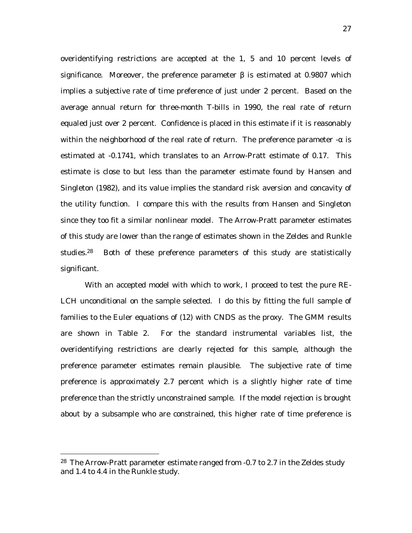overidentifying restrictions are accepted at the 1, 5 and 10 percent levels of significance. Moreover, the preference parameter  $\beta$  is estimated at 0.9807 which implies a subjective rate of time preference of just under 2 percent. Based on the average annual return for three-month T-bills in 1990, the real rate of return equaled just over 2 percent. Confidence is placed in this estimate if it is reasonably within the neighborhood of the real rate of return. The preference parameter  $-\alpha$  is estimated at -0.1741, which translates to an Arrow-Pratt estimate of 0.17. This estimate is close to but less than the parameter estimate found by Hansen and Singleton (1982), and its value implies the standard risk aversion and concavity of the utility function. I compare this with the results from Hansen and Singleton since they too fit a similar nonlinear model. The Arrow-Pratt parameter estimates of this study are lower than the range of estimates shown in the Zeldes and Runkle studies.28 Both of these preference parameters of this study are statistically significant.

With an accepted model with which to work, I proceed to test the pure RE-LCH unconditional on the sample selected. I do this by fitting the full sample of families to the Euler equations of (12) with CNDS as the proxy. The GMM results are shown in Table 2. For the standard instrumental variables list, the overidentifying restrictions are clearly rejected for this sample, although the preference parameter estimates remain plausible. The subjective rate of time preference is approximately 2.7 percent which is a slightly higher rate of time preference than the strictly unconstrained sample. If the model rejection is brought about by a subsample who are constrained, this higher rate of time preference is

<sup>&</sup>lt;sup>28</sup> The Arrow-Pratt parameter estimate ranged from -0.7 to 2.7 in the Zeldes study and 1.4 to 4.4 in the Runkle study.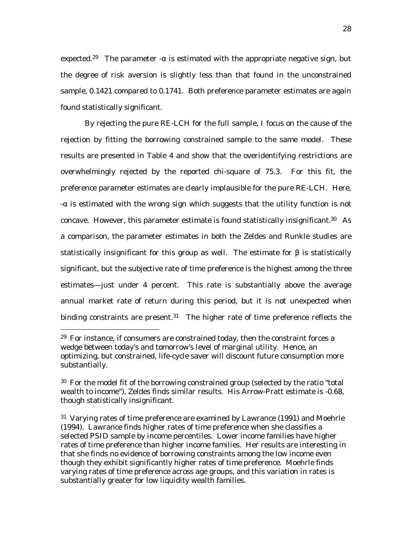expected.<sup>29</sup> The parameter - $\alpha$  is estimated with the appropriate negative sign, but the degree of risk aversion is slightly less than that found in the unconstrained sample, 0.1421 compared to 0.1741. Both preference parameter estimates are again found statistically significant.

By rejecting the pure RE-LCH for the full sample, I focus on the cause of the rejection by fitting the borrowing constrained sample to the same model. These results are presented in Table 4 and show that the overidentifying restrictions are overwhelmingly rejected by the reported chi-square of 75.3. For this fit, the preference parameter estimates are clearly implausible for the pure RE-LCH. Here, -α is estimated with the wrong sign which suggests that the utility function is not concave. However, this parameter estimate is found statistically insignificant.30 As a comparison, the parameter estimates in both the Zeldes and Runkle studies are statistically insignificant for this group as well. The estimate for  $\beta$  is statistically significant, but the subjective rate of time preference is the highest among the three estimates—just under 4 percent. This rate is substantially above the average annual market rate of return during this period, but it is not unexpected when binding constraints are present. $31$  The higher rate of time preference reflects the

 $29$  For instance, if consumers are constrained today, then the constraint forces a wedge between today's and tomorrow's level of marginal utility. Hence, an optimizing, but constrained, life-cycle saver will discount future consumption more substantially.

 $30\,$  For the model fit of the borrowing constrained group (selected by the ratio "total wealth to income"), Zeldes finds similar results. His Arrow-Pratt estimate is -0.68, though statistically insignificant.

<sup>&</sup>lt;sup>31</sup> Varying rates of time preference are examined by Lawrance (1991) and Moehrle (1994). Lawrance finds higher rates of time preference when she classifies a selected PSID sample by income percentiles. Lower income families have higher rates of time preference than higher income families. Her results are interesting in that she finds no evidence of borrowing constraints among the low income even though they exhibit significantly higher rates of time preference. Moehrle finds varying rates of time preference across age groups, and this variation in rates is substantially greater for low liquidity wealth families.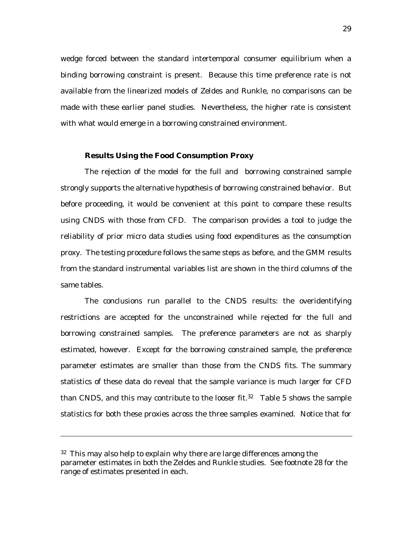wedge forced between the standard intertemporal consumer equilibrium when a binding borrowing constraint is present. Because this time preference rate is not available from the linearized models of Zeldes and Runkle, no comparisons can be made with these earlier panel studies. Nevertheless, the higher rate is consistent with what would emerge in a borrowing constrained environment.

#### **Results Using the Food Consumption Proxy**

The rejection of the model for the full and borrowing constrained sample strongly supports the alternative hypothesis of borrowing constrained behavior. But before proceeding, it would be convenient at this point to compare these results using CNDS with those from CFD. The comparison provides a tool to judge the reliability of prior micro data studies using food expenditures as the consumption proxy. The testing procedure follows the same steps as before, and the GMM results from the standard instrumental variables list are shown in the third columns of the same tables.

The conclusions run parallel to the CNDS results: the overidentifying restrictions are accepted for the unconstrained while rejected for the full and borrowing constrained samples. The preference parameters are not as sharply estimated, however. Except for the borrowing constrained sample, the preference parameter estimates are smaller than those from the CNDS fits. The summary statistics of these data do reveal that the sample variance is much larger for CFD than CNDS, and this may contribute to the looser fit.<sup>32</sup> Table 5 shows the sample statistics for both these proxies across the three samples examined. Notice that for

-

<sup>&</sup>lt;sup>32</sup> This may also help to explain why there are large differences among the parameter estimates in both the Zeldes and Runkle studies. See footnote 28 for the range of estimates presented in each.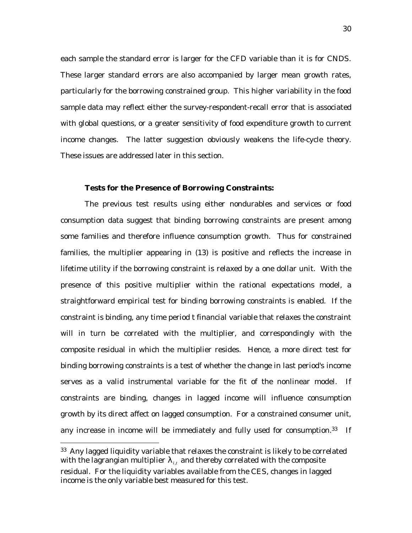each sample the standard error is larger for the CFD variable than it is for CNDS. These larger standard errors are also accompanied by larger mean growth rates, particularly for the borrowing constrained group. This higher variability in the food sample data may reflect either the survey-respondent-recall error that is associated with global questions, or a greater sensitivity of food expenditure growth to current income changes. The latter suggestion obviously weakens the life-cycle theory. These issues are addressed later in this section.

#### **Tests for the Presence of Borrowing Constraints:**

The previous test results using either nondurables and services or food consumption data suggest that binding borrowing constraints are present among some families and therefore influence consumption growth. Thus for constrained families, the multiplier appearing in (13) is positive and reflects the increase in lifetime utility if the borrowing constraint is relaxed by a one dollar unit. With the presence of this positive multiplier within the rational expectations model, a straightforward empirical test for binding borrowing constraints is enabled. If the constraint is binding, any time period *t* financial variable that relaxes the constraint will in turn be correlated with the multiplier, and correspondingly with the composite residual in which the multiplier resides. Hence, a more direct test for binding borrowing constraints is a test of whether the change in last period's income serves as a valid instrumental variable for the fit of the nonlinear model. If constraints are binding, changes in lagged income will influence consumption growth by its direct affect on lagged consumption. For a constrained consumer unit, any increase in income will be immediately and fully used for consumption.<sup>33</sup> If

<sup>&</sup>lt;sup>33</sup> Any lagged liquidity variable that relaxes the constraint is likely to be correlated with the lagrangian multiplier  $\lambda_{i,t}$  and thereby correlated with the composite residual. For the liquidity variables available from the CES, changes in lagged income is the only variable best measured for this test.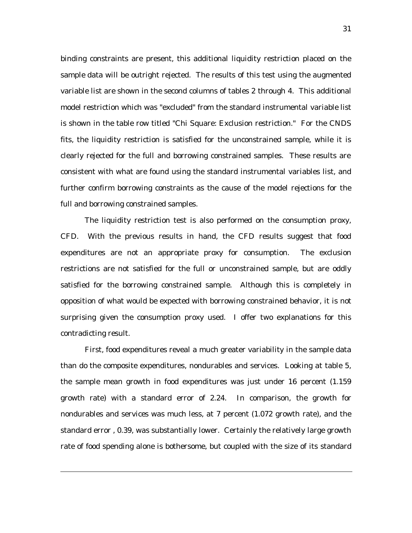binding constraints are present, this additional liquidity restriction placed on the sample data will be outright rejected. The results of this test using the augmented variable list are shown in the second columns of tables 2 through 4. This additional model restriction which was "excluded" from the standard instrumental variable list is shown in the table row titled "Chi Square: Exclusion restriction." For the CNDS fits, the liquidity restriction is satisfied for the unconstrained sample, while it is clearly rejected for the full and borrowing constrained samples. These results are consistent with what are found using the standard instrumental variables list, and further confirm borrowing constraints as the cause of the model rejections for the full and borrowing constrained samples.

The liquidity restriction test is also performed on the consumption proxy, CFD. With the previous results in hand, the CFD results suggest that food expenditures are not an appropriate proxy for consumption. The exclusion restrictions are not satisfied for the full or unconstrained sample, but are oddly satisfied for the borrowing constrained sample. Although this is completely in opposition of what would be expected with borrowing constrained behavior, it is not surprising given the consumption proxy used. I offer two explanations for this contradicting result.

First, food expenditures reveal a much greater variability in the sample data than do the composite expenditures, nondurables and services. Looking at table 5, the sample mean growth in food expenditures was just under 16 percent (1.159 growth rate) with a standard error of 2.24. In comparison, the growth for nondurables and services was much less, at 7 percent (1.072 growth rate), and the standard error , 0.39, was substantially lower. Certainly the relatively large growth rate of food spending alone is bothersome, but coupled with the size of its standard

-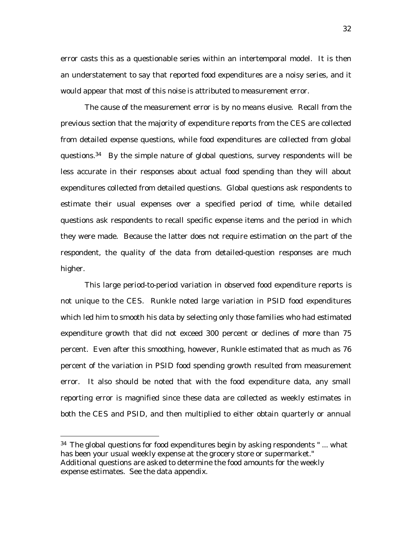error casts this as a questionable series within an intertemporal model. It is then an understatement to say that reported food expenditures are a noisy series, and it would appear that most of this noise is attributed to measurement error.

The cause of the measurement error is by no means elusive. Recall from the previous section that the majority of expenditure reports from the CES are collected from detailed expense questions, while food expenditures are collected from global questions.34 By the simple nature of global questions, survey respondents will be less accurate in their responses about actual food spending than they will about expenditures collected from detailed questions. Global questions ask respondents to estimate their usual expenses over a specified period of time, while detailed questions ask respondents to recall specific expense items and the period in which they were made. Because the latter does not require estimation on the part of the respondent, the quality of the data from detailed-question responses are much higher.

This large period-to-period variation in observed food expenditure reports is not unique to the CES. Runkle noted large variation in PSID food expenditures which led him to smooth his data by selecting only those families who had estimated expenditure growth that did not exceed 300 percent or declines of more than 75 percent. Even after this smoothing, however, Runkle estimated that as much as 76 percent of the variation in PSID food spending growth resulted from measurement error. It also should be noted that with the food expenditure data, any small reporting error is magnified since these data are collected as weekly estimates in both the CES and PSID, and then multiplied to either obtain quarterly or annual

 $34$  The global questions for food expenditures begin by asking respondents "... what has been your usual weekly expense at the grocery store or supermarket." Additional questions are asked to determine the food amounts for the weekly expense estimates. See the data appendix.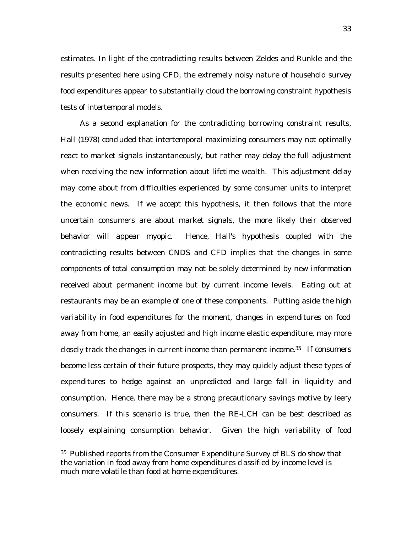estimates. In light of the contradicting results between Zeldes and Runkle and the results presented here using CFD, the extremely noisy nature of household survey food expenditures appear to substantially cloud the borrowing constraint hypothesis tests of intertemporal models.

As a second explanation for the contradicting borrowing constraint results, Hall (1978) concluded that intertemporal maximizing consumers may not optimally react to market signals instantaneously, but rather may delay the full adjustment when receiving the new information about lifetime wealth. This adjustment delay may come about from difficulties experienced by some consumer units to interpret the economic news. If we accept this hypothesis, it then follows that the more uncertain consumers are about market signals, the more likely their observed behavior will appear myopic. Hence, Hall's hypothesis coupled with the contradicting results between CNDS and CFD implies that the changes in some components of total consumption may not be solely determined by new information received about permanent income but by current income levels. Eating out at restaurants may be an example of one of these components. Putting aside the high variability in food expenditures for the moment, changes in expenditures on food away from home, an easily adjusted and high income elastic expenditure, may more closely track the changes in current income than permanent income.35 If consumers become less certain of their future prospects, they may quickly adjust these types of expenditures to hedge against an unpredicted and large fall in liquidity and consumption. Hence, there may be a strong precautionary savings motive by leery consumers. If this scenario is true, then the RE-LCH can be best described as loosely explaining consumption behavior. Given the high variability of food

 <sup>35</sup> Published reports from the Consumer Expenditure Survey of BLS do show that the variation in food away from home expenditures classified by income level is much more volatile than food at home expenditures.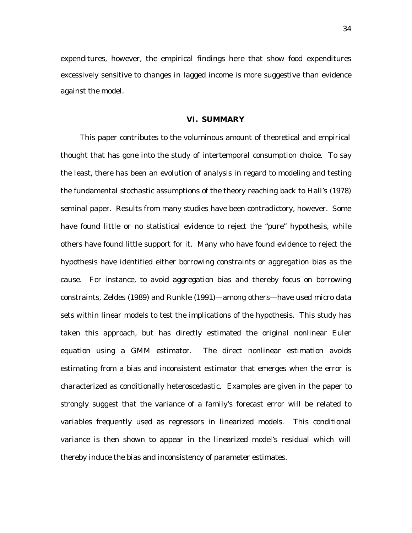expenditures, however, the empirical findings here that show food expenditures excessively sensitive to changes in lagged income is more suggestive than evidence against the model.

### **VI. SUMMARY**

This paper contributes to the voluminous amount of theoretical and empirical thought that has gone into the study of intertemporal consumption choice. To say the least, there has been an evolution of analysis in regard to modeling and testing the fundamental stochastic assumptions of the theory reaching back to Hall's (1978) seminal paper. Results from many studies have been contradictory, however. Some have found little or no statistical evidence to reject the "pure" hypothesis, while others have found little support for it. Many who have found evidence to reject the hypothesis have identified either borrowing constraints or aggregation bias as the cause. For instance, to avoid aggregation bias and thereby focus on borrowing constraints, Zeldes (1989) and Runkle (1991)—among others—have used micro data sets within linear models to test the implications of the hypothesis. This study has taken this approach, but has directly estimated the original nonlinear Euler equation using a GMM estimator. The direct nonlinear estimation avoids estimating from a bias and inconsistent estimator that emerges when the error is characterized as conditionally heteroscedastic. Examples are given in the paper to strongly suggest that the variance of a family's forecast error will be related to variables frequently used as regressors in linearized models. This conditional variance is then shown to appear in the linearized model's residual which will thereby induce the bias and inconsistency of parameter estimates.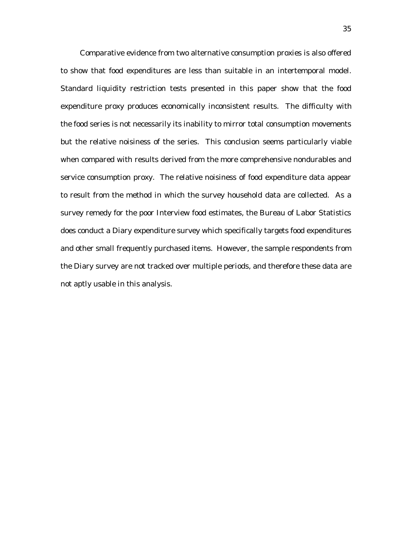Comparative evidence from two alternative consumption proxies is also offered to show that food expenditures are less than suitable in an intertemporal model. Standard liquidity restriction tests presented in this paper show that the food expenditure proxy produces economically inconsistent results. The difficulty with the food series is not necessarily its inability to mirror total consumption movements but the relative noisiness of the series. This conclusion seems particularly viable when compared with results derived from the more comprehensive nondurables and service consumption proxy. The relative noisiness of food expenditure data appear to result from the method in which the survey household data are collected. As a survey remedy for the poor Interview food estimates, the Bureau of Labor Statistics does conduct a Diary expenditure survey which specifically targets food expenditures and other small frequently purchased items. However, the sample respondents from the Diary survey are not tracked over multiple periods, and therefore these data are not aptly usable in this analysis.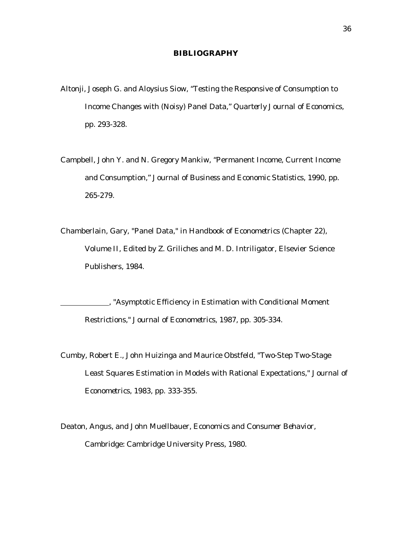### **BIBLIOGRAPHY**

- Altonji, Joseph G. and Aloysius Siow, "Testing the Responsive of Consumption to Income Changes with (Noisy) Panel Data," *Quarterly Journal of Economics*, pp. 293-328.
- Campbell, John Y. and N. Gregory Mankiw, "Permanent Income, Current Income and Consumption," *Journal of Business and Economic Statistics*, 1990, pp. 265-279.
- Chamberlain, Gary, "Panel Data," in *Handbook of Econometrics* (Chapter 22), Volume II, Edited by Z. Griliches and M. D. Intriligator, Elsevier Science Publishers, 1984.

 , "Asymptotic Efficiency in Estimation with Conditional Moment Restrictions," *Journal of Econometrics*, 1987, pp. 305-334.

- Cumby, Robert E., John Huizinga and Maurice Obstfeld, "Two-Step Two-Stage Least Squares Estimation in Models with Rational Expectations," *Journal of Econometrics*, 1983, pp. 333-355.
- Deaton, Angus, and John Muellbauer, *Economics and Consumer Behavior*, Cambridge: Cambridge University Press, 1980.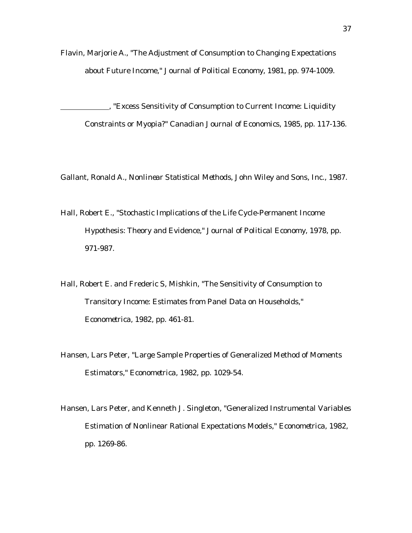Flavin, Marjorie A., "The Adjustment of Consumption to Changing Expectations about Future Income," *Journal of Political Economy*, 1981, pp. 974-1009.

 , "Excess Sensitivity of Consumption to Current Income: Liquidity Constraints or Myopia?" *Canadian Journal of Economics*, 1985, pp. 117-136.

Gallant, Ronald A., *Nonlinear Statistical Methods*, John Wiley and Sons, Inc., 1987.

Hall, Robert E., "Stochastic Implications of the Life Cycle-Permanent Income Hypothesis: Theory and Evidence," *Journal of Political Economy*, 1978, pp. 971-987.

Hall, Robert E. and Frederic S, Mishkin, "The Sensitivity of Consumption to Transitory Income: Estimates from Panel Data on Households," *Econometrica*, 1982, pp. 461-81.

- Hansen, Lars Peter, "Large Sample Properties of Generalized Method of Moments Estimators," *Econometrica*, 1982, pp. 1029-54.
- Hansen, Lars Peter, and Kenneth J. Singleton, "Generalized Instrumental Variables Estimation of Nonlinear Rational Expectations Models," *Econometrica*, 1982, pp. 1269-86.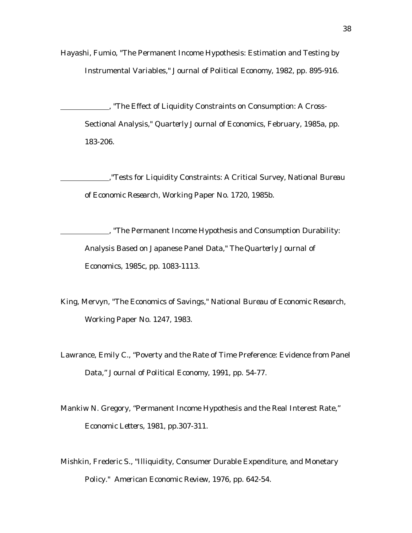Hayashi, Fumio, "The Permanent Income Hypothesis: Estimation and Testing by Instrumental Variables," *Journal of Political Economy*, 1982, pp. 895-916.

The Effect of Liquidity Constraints on Consumption: A Cross-Sectional Analysis," *Quarterly Journal of Economics*, February, 1985a, pp. 183-206.

 ,"Tests for Liquidity Constraints: A Critical Survey, *National Bureau of Economic Research*, Working Paper No. 1720, 1985b.

 , "The Permanent Income Hypothesis and Consumption Durability: Analysis Based on Japanese Panel Data," *The Quarterly Journal of Economics*, 1985c, pp. 1083-1113.

- King, Mervyn, "The Economics of Savings," *National Bureau of Economic Research,* Working Paper No. 1247, 1983.
- Lawrance, Emily C., "Poverty and the Rate of Time Preference: Evidence from Panel Data," *Journal of Political Economy*, 1991, pp. 54-77.
- Mankiw N. Gregory, "Permanent Income Hypothesis and the Real Interest Rate," *Economic Letters*, 1981, pp.307-311.
- Mishkin, Frederic S., "Illiquidity, Consumer Durable Expenditure, and Monetary Policy." *American Economic Review*, 1976, pp. 642-54.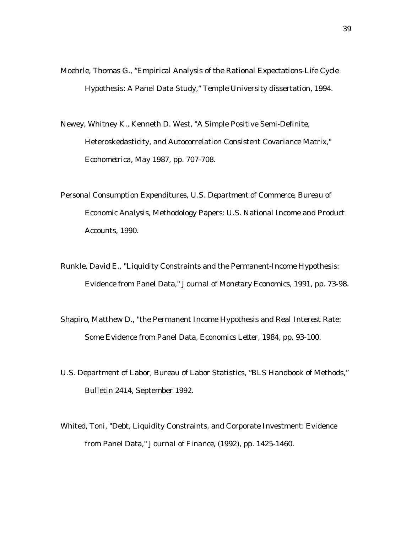- Moehrle, Thomas G., "Empirical Analysis of the Rational Expectations-Life Cycle Hypothesis: A Panel Data Study," Temple University dissertation, 1994.
- Newey, Whitney K., Kenneth D. West, "A Simple Positive Semi-Definite, Heteroskedasticity, and Autocorrelation Consistent Covariance Matrix," *Econometrica*, May 1987, pp. 707-708.
- Personal Consumption Expenditures, *U.S. Department of Commerce, Bureau of Economic Analysis*, Methodology Papers: U.S. National Income and Product Accounts, 1990.
- Runkle, David E., "Liquidity Constraints and the Permanent-Income Hypothesis: Evidence from Panel Data," *Journal of Monetary Economics*, 1991, pp. 73-98.
- Shapiro, Matthew D., "the Permanent Income Hypothesis and Real Interest Rate: Some Evidence from Panel Data, *Economics Letter*, 1984, pp. 93-100.
- U.S. Department of Labor, Bureau of Labor Statistics, "BLS Handbook of Methods," Bulletin 2414, September 1992.
- Whited, Toni, "Debt, Liquidity Constraints, and Corporate Investment: Evidence from Panel Data," *Journal of Finance*, (1992), pp. 1425-1460.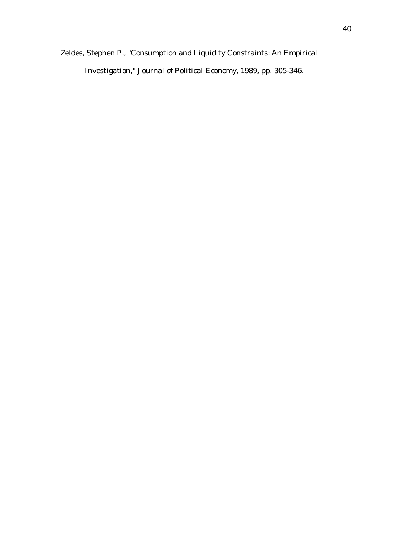Zeldes, Stephen P., "Consumption and Liquidity Constraints: An Empirical Investigation," *Journal of Political Economy*, 1989, pp. 305-346.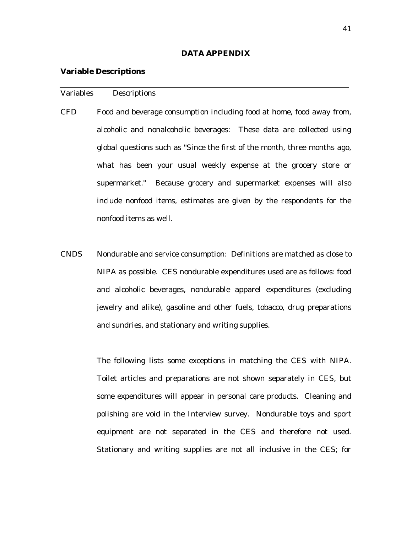### **DATA APPENDIX**

### **Variable Descriptions**

| <b>Variables</b> | Descriptions |
|------------------|--------------|
|------------------|--------------|

- *CFD* Food and beverage consumption including food at home, food away from, alcoholic and nonalcoholic beverages: These data are collected using global questions such as "Since the first of the month, three months ago, what has been your usual weekly expense at the grocery store or supermarket." Because grocery and supermarket expenses will also include nonfood items, estimates are given by the respondents for the nonfood items as well.
- *CNDS* Nondurable and service consumption: Definitions are matched as close to NIPA as possible. CES nondurable expenditures used are as follows: food and alcoholic beverages, nondurable apparel expenditures (excluding jewelry and alike), gasoline and other fuels, tobacco, drug preparations and sundries, and stationary and writing supplies.

The following lists some exceptions in matching the CES with NIPA. Toilet articles and preparations are not shown separately in CES, but some expenditures will appear in personal care products. Cleaning and polishing are void in the Interview survey. Nondurable toys and sport equipment are not separated in the CES and therefore not used. Stationary and writing supplies are not all inclusive in the CES; for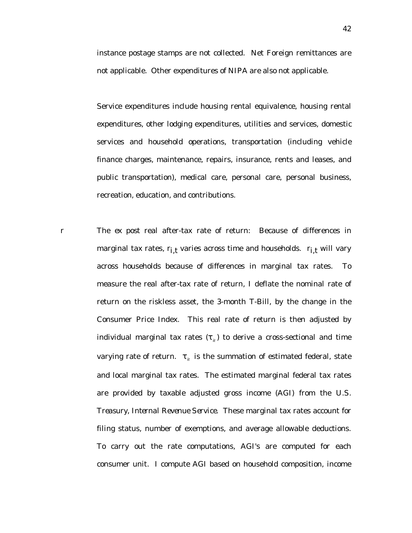instance postage stamps are not collected. Net Foreign remittances are not applicable. Other expenditures of NIPA are also not applicable.

Service expenditures include housing rental equivalence, housing rental expenditures, other lodging expenditures, utilities and services, domestic services and household operations, transportation (including vehicle finance charges, maintenance, repairs, insurance, rents and leases, and public transportation), medical care, personal care, personal business, recreation, education, and contributions.

*r* The *ex post* real after-tax rate of return: Because of differences in marginal tax rates,  $r_{i,t}$  varies across time and households.  $r_{i,t}$  will vary across households because of differences in marginal tax rates. To measure the real after-tax rate of return, I deflate the nominal rate of return on the riskless asset, the 3-month T-Bill, by the change in the Consumer Price Index. This real rate of return is then adjusted by individual marginal tax rates  $(\tau_{i})$  to derive a cross-sectional and time varying rate of return.  $\tau_{it}$  is the summation of estimated federal, state and local marginal tax rates. The estimated marginal federal tax rates are provided by taxable adjusted gross income (AGI) from the *U.S. Treasury, Internal Revenue Service*. These marginal tax rates account for filing status, number of exemptions, and average allowable deductions. To carry out the rate computations, AGI's are computed for each consumer unit. I compute AGI based on household composition, income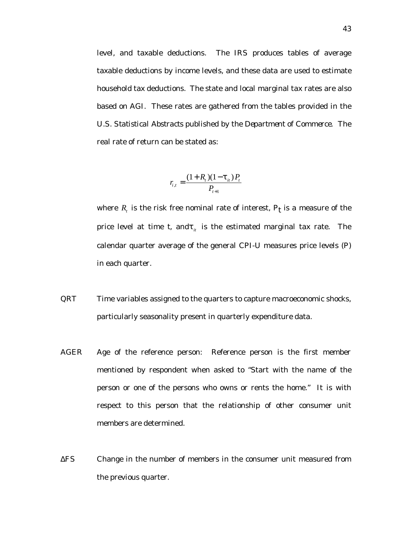level, and taxable deductions. The *IRS* produces tables of average taxable deductions by income levels, and these data are used to estimate household tax deductions. The state and local marginal tax rates are also based on AGI. These rates are gathered from the tables provided in the *U.S. Statistical Abstracts* published by the *Department of Commerce*. The real rate of return can be stated as:

$$
r_{i,t} = \frac{(1+R_{i})(1-\tau_{i})P_{t}}{P_{t+1}}
$$

where  $R_t$  is the risk free nominal rate of interest,  $P_t$  is a measure of the price level at time  $t$ , and $\tau$ <sub>*it*</sub> is the estimated marginal tax rate. The calendar quarter average of the general CPI-U measures price levels (*P*) in each quarter.

- QRT Time variables assigned to the quarters to capture macroeconomic shocks, particularly seasonality present in quarterly expenditure data.
- *AGER* Age of the reference person: Reference person is the first member mentioned by respondent when asked to "Start with the name of the person or one of the persons who owns or rents the home." It is with respect to this person that the relationship of other consumer unit members are determined.
- ∆FS Change in the number of members in the consumer unit measured from the previous quarter.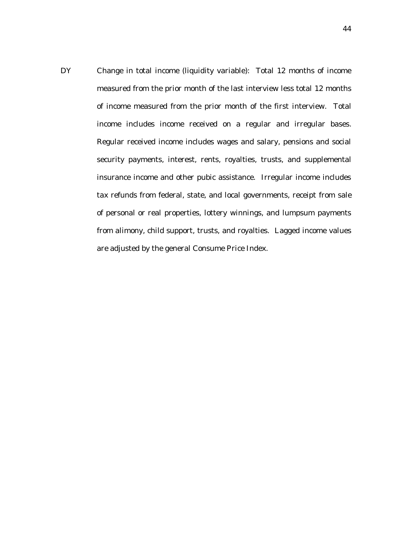DY Change in total income (liquidity variable): Total 12 months of income measured from the prior month of the last interview less total 12 months of income measured from the prior month of the first interview. Total income includes income received on a regular and irregular bases. Regular received income includes wages and salary, pensions and social security payments, interest, rents, royalties, trusts, and supplemental insurance income and other pubic assistance. Irregular income includes tax refunds from federal, state, and local governments, receipt from sale of personal or real properties, lottery winnings, and lumpsum payments from alimony, child support, trusts, and royalties. Lagged income values are adjusted by the general Consume Price Index.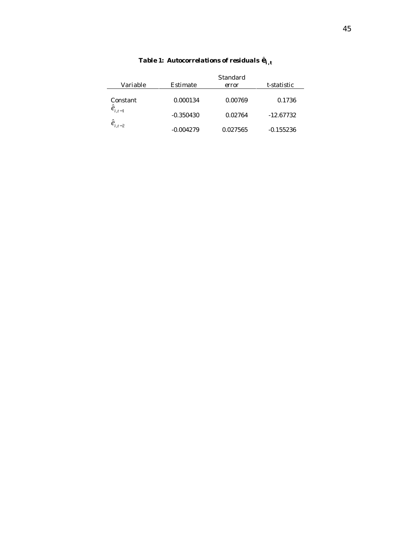| Variable          | Estimate    | <b>Standard</b><br>error | t-statistic |
|-------------------|-------------|--------------------------|-------------|
| Constant          | 0.000134    | 0.00769                  | 0.1736      |
| $\hat{e}_{i,t-1}$ | $-0.350430$ | 0.02764                  | $-12.67732$ |
| $\hat{e}_{i,t-2}$ | $-0.004279$ | 0.027565                 | $-0.155236$ |

# *Table 1: Autocorrelations of residuals*  $\hat{\mathbf{e}}_{i,t}$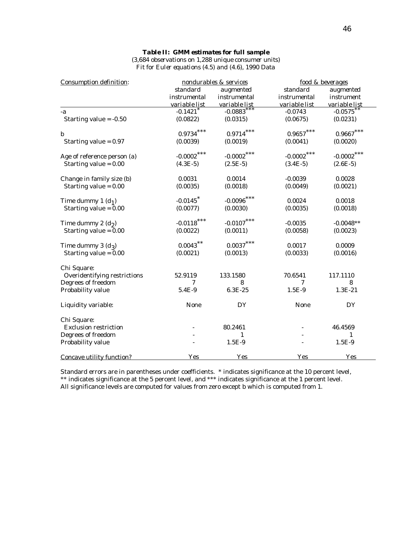| $(3,684$ observations on 1,288 unique consumer units)   |
|---------------------------------------------------------|
| Fit for Euler equations $(4.5)$ and $(4.6)$ , 1990 Data |

| Consumption definition:      |                        | nondurables & services |               | food & beverages  |
|------------------------------|------------------------|------------------------|---------------|-------------------|
|                              | standard               | augmented              | standard      | augmented         |
|                              | instrumental           | <i>instrumental</i>    | instrumental  | <i>instrument</i> |
|                              | variable list          | variable list          | variable list | variable list     |
| -a                           | $-0.1421$ <sup>*</sup> | $-0.0883$ ***          | $-0.0743$     | $-0.0575$ **      |
| Starting value $= -0.50$     | (0.0822)               | (0.0315)               | (0.0675)      | (0.0231)          |
| $\boldsymbol{b}$             | $0.9734\; ^{***}$      | $0.9714$ ***           | $0.9657\,***$ | $0.9667***$       |
| Starting value $= 0.97$      | (0.0039)               | (0.0019)               | (0.0041)      | (0.0020)          |
| Age of reference person (a)  | $-0.0002$ ***          | $-0.0002$ ***          | $-0.0002$ *** | $-0.0002$ ***     |
| Starting value $= 0.00$      | $(4.3E-5)$             | $(2.5E-5)$             | $(3.4E-5)$    | $(2.6E-5)$        |
| Change in family size (b)    | 0.0031                 | 0.0014                 | $-0.0039$     | 0.0028            |
| Starting value $= 0.00$      | (0.0035)               | (0.0018)               | (0.0049)      | (0.0021)          |
| Time dummy 1 $(d1)$          | $-0.0145$ <sup>*</sup> | $-0.0096$ ***          | 0.0024        | 0.0018            |
| Starting value = $0.00$      | (0.0077)               | (0.0030)               | (0.0035)      | (0.0018)          |
| Time dummy 2 $(d_2)$         | $-0.0118$ ***          | $-0.0107$ ***          | $-0.0035$     | $-0.0048**$       |
| Starting value = $0.00$      | (0.0022)               | (0.0011)               | (0.0058)      | (0.0023)          |
| Time dummy 3 $(d_3)$         | $0.0043$ $^{**}$       | $0.0037***$            | 0.0017        | 0.0009            |
| Starting value $= 0.00$      | (0.0021)               | (0.0013)               | (0.0033)      | (0.0016)          |
| Chi Square:                  |                        |                        |               |                   |
| Overidentifying restrictions | 52.9119                | 133.1580               | 70.6541       | 117.1110          |
| Degrees of freedom           | 7                      | 8                      | 7             | 8                 |
| Probability value            | 5.4E-9                 | 6.3E-25                | $1.5E-9$      | 1.3E-21           |
| Liquidity variable:          | None                   | DY                     | None          | DY                |
| Chi Square:                  |                        |                        |               |                   |
| <b>Exclusion restriction</b> |                        | 80.2461                |               | 46.4569           |
| Degrees of freedom           |                        | 1                      |               | $\mathbf{1}$      |
| Probability value            |                        | $1.5E-9$               |               | $1.5E-9$          |
| Concave utility function?    | <b>Yes</b>             | Yes                    | Yes           | Yes               |

Standard errors are in parentheses under coefficients. *\** indicates significance at the 10 percent level, *\*\** indicates significance at the 5 percent level, and *\*\*\** indicates significance at the 1 percent level. All significance levels are computed for values from zero except *b* which is computed from 1.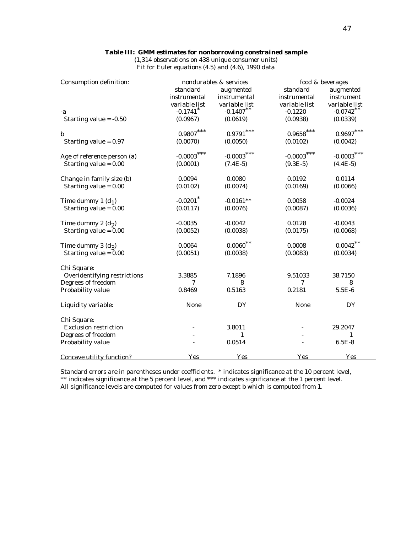### *Table III: GMM estimates for nonborrowing constrained sample*

*(1,314 observations on 438 unique consumer units) Fit for Euler equations (4.5) and (4.6), 1990 data*

| Consumption definition:          |                        | nondurables & services |                   | food & beverages |  |  |
|----------------------------------|------------------------|------------------------|-------------------|------------------|--|--|
|                                  | standard               | augmented              | standard          | augmented        |  |  |
|                                  | instrumental           | instrumental           | instrumental      | instrument       |  |  |
|                                  | variable list          | variable list          | variable list     | variable list    |  |  |
| -a                               | $-0.1741$ <sup>*</sup> | $-0.1407***$           | $-0.1220$         | $-0.0742$ **     |  |  |
| Starting value $= -0.50$         | (0.0967)               | (0.0619)               | (0.0938)          | (0.0339)         |  |  |
| $\boldsymbol{b}$                 | $0.9807\,***$          | $0.9791\; ^{***}$      | $0.9658\; ^{***}$ | $0.9697***$      |  |  |
| Starting value $= 0.97$          | (0.0070)               | (0.0050)               | (0.0102)          | (0.0042)         |  |  |
| Age of reference person (a)      | $-0.0003$ ***          | $-0.0003$ ***          | $-0.0003$ ***     | $-0.0003$        |  |  |
| Starting value $= 0.00$          | (0.0001)               | $(7.4E-5)$             | $(9.3E-5)$        | $(4.4E-5)$       |  |  |
| Change in family size (b)        | 0.0094                 | 0.0080                 | 0.0192            | 0.0114           |  |  |
| Starting value $= 0.00$          | (0.0102)               | (0.0074)               | (0.0169)          | (0.0066)         |  |  |
| Time dummy 1 $(d1)$              | $-0.0201$ $*$          | $-0.0161**$            | 0.0058            | $-0.0024$        |  |  |
| Starting value = $0.00$          | (0.0117)               | (0.0076)               | (0.0087)          | (0.0036)         |  |  |
| Time dummy 2 $(d_2)$             | $-0.0035$              | $-0.0042$              | 0.0128            | $-0.0043$        |  |  |
| Starting value $= 0.00$          | (0.0052)               | (0.0038)               | (0.0175)          | (0.0068)         |  |  |
| Time dummy 3 $(d_3)$             | 0.0064                 | $0.0060$ **            | 0.0008            | $0.0042$ **      |  |  |
| Starting value $= 0.00$          | (0.0051)               | (0.0038)               | (0.0083)          | (0.0034)         |  |  |
| Chi Square:                      |                        |                        |                   |                  |  |  |
| Overidentifying restrictions     | 3.3885                 | 7.1896                 | 9.51033           | 38.7150          |  |  |
| Degrees of freedom               | 7                      | 8                      | 7                 | 8                |  |  |
| Probability value                | 0.8469                 | 0.5163                 | 0.2181            | $5.5E-6$         |  |  |
| Liquidity variable:              | None                   | DY                     | None              | DY               |  |  |
| Chi Square:                      |                        |                        |                   |                  |  |  |
| <b>Exclusion restriction</b>     |                        | 3.8011                 |                   | 29.2047          |  |  |
| Degrees of freedom               |                        | 1                      |                   | 1                |  |  |
| Probability value                |                        | 0.0514                 |                   | $6.5E-8$         |  |  |
| <b>Concave utility function?</b> | Yes                    | Yes                    | Yes               | Yes              |  |  |

Standard errors are in parentheses under coefficients. *\** indicates significance at the 10 percent level, *\*\** indicates significance at the 5 percent level, and *\*\*\** indicates significance at the 1 percent level. All significance levels are computed for values from zero except *b* which is computed from 1.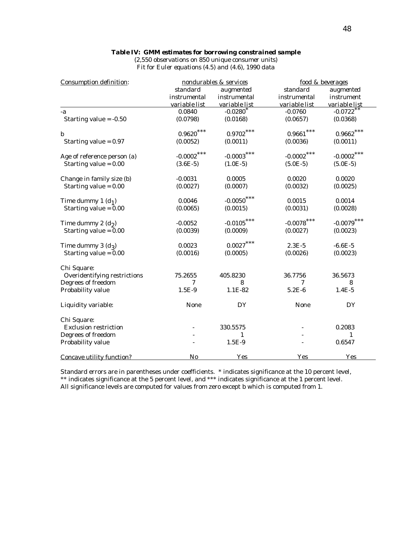### *Table IV: GMM estimates for borrowing constrained sample*

*(2,550 observations on 850 unique consumer units) Fit for Euler equations (4.5) and (4.6), 1990 data*

| Consumption definition:             |                     | nondurables & services |                        | food & beverages        |
|-------------------------------------|---------------------|------------------------|------------------------|-------------------------|
|                                     | standard            | augmented              | standard               | augmented               |
|                                     | <i>instrumental</i> | instrumental           | <i>instrumental</i>    | instrument              |
|                                     | variable list       | variable list          | variable list          | variable list           |
| $-a$                                | 0.0840              | $-0.0280*$             | $-0.0760$              | $-0.0722$ <sup>**</sup> |
| Starting value $= -0.50$            | (0.0798)            | (0.0168)               | (0.0657)               | (0.0368)                |
| $\boldsymbol{b}$                    | $0.9620\,***$       | $0.9702\,***$          | $0.9661\; ^{***}$      | $0.9662\; ^{***}$       |
| Starting value $= 0.97$             | (0.0052)            | (0.0011)               | (0.0036)               | (0.0011)                |
| Age of reference person (a)         | $-0.0002$ ***       | ***<br>$-0.0003$       | $-0.0002$ ***          | $-0.0002$               |
| Starting value $= 0.00$             | $(3.6E-5)$          | $(1.0E-5)$             | $(5.0E-5)$             | $(5.0E-5)$              |
| Change in family size (b)           | $-0.0031$           | 0.0005                 | 0.0020                 | 0.0020                  |
| Starting value = 0.00               | (0.0027)            | (0.0007)               | (0.0032)               | (0.0025)                |
| Time dummy 1 $(d1)$                 | 0.0046              | $-0.0050$              | 0.0015                 | 0.0014                  |
| Starting value $= 0.00$             | (0.0065)            | (0.0015)               | (0.0031)               | (0.0028)                |
| Time dummy 2 $(d_2)$                | $-0.0052$           | $-0.0105$              | $\textbf{-0.0078}$ *** | $-0.0079$               |
| Starting value = $0.00$             | (0.0039)            | (0.0009)               | (0.0027)               | (0.0023)                |
| Time dummy 3 $(d_3)$                | 0.0023              | $0.0027$ ***           | $2.3E-5$               | $-6.6E-5$               |
| Starting value = $0.00$             | (0.0016)            | (0.0005)               | (0.0026)               | (0.0023)                |
| Chi Square:                         |                     |                        |                        |                         |
| <b>Overidentifying restrictions</b> | 75.2655             | 405.8230               | 36.7756                | 36.5673                 |
| Degrees of freedom                  | 7                   | 8                      | 7                      | 8                       |
| Probability value                   | $1.5E-9$            | 1.1E-82                | $5.2E-6$               | $1.4E-5$                |
| Liquidity variable:                 | None                | DY                     | None                   | DY                      |
| Chi Square:                         |                     |                        |                        |                         |
| <b>Exclusion restriction</b>        |                     | 330.5575               |                        | 0.2083                  |
| Degrees of freedom                  |                     | 1                      |                        | 1                       |
| Probability value                   |                     | $1.5E-9$               |                        | 0.6547                  |
| <b>Concave utility function?</b>    | No                  | Yes                    | Yes                    | Yes                     |

Standard errors are in parentheses under coefficients. *\** indicates significance at the 10 percent level, *\*\** indicates significance at the 5 percent level, and *\*\*\** indicates significance at the 1 percent level. All significance levels are computed for values from zero except *b* which is computed from 1.